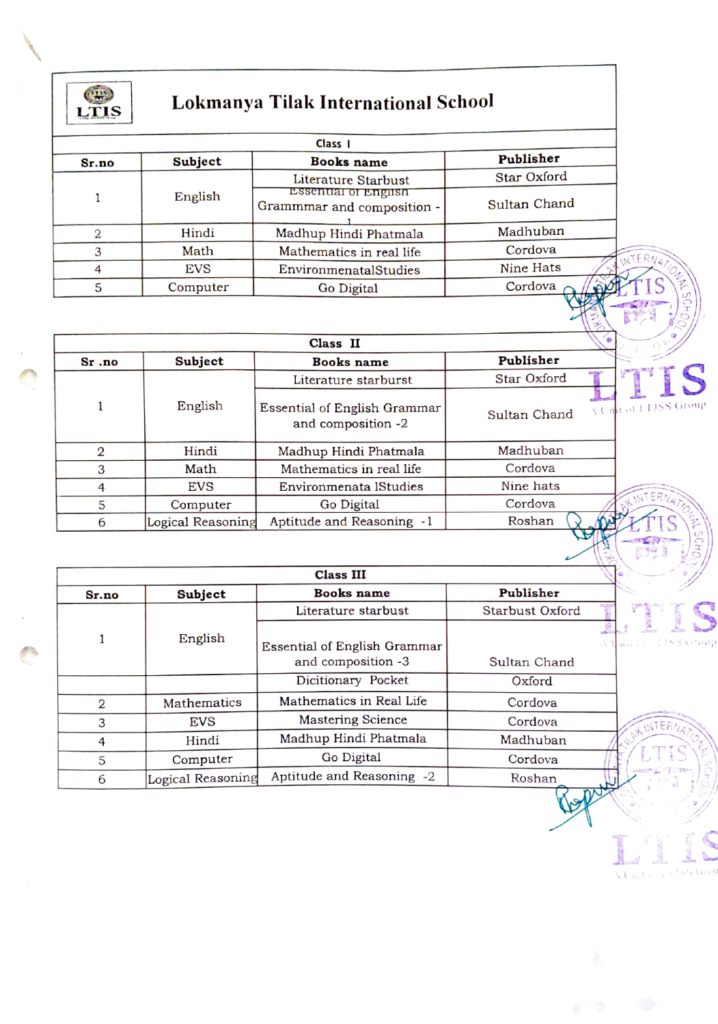

## Lokmanya Tilak International School

| Class I |            |                                                           |                                |  |
|---------|------------|-----------------------------------------------------------|--------------------------------|--|
| Sr.no   | Subject    | Books name                                                | Publisher                      |  |
|         |            | Literature Starbust                                       | Star Oxford                    |  |
|         | English    | <b>Essential of English</b><br>Grammmar and composition - | Sultan Chand                   |  |
|         | Hindi      | Madhup Hindi Phatmala                                     | Madhuban                       |  |
|         | Math       | Mathematics in real life                                  | Cordova<br>NTERN.              |  |
|         | <b>EVS</b> | EnvironmenatalStudies                                     | Nine Hats                      |  |
|         | Computer   | Go Digital                                                | ŢŚ<br>Cordova<br><b>AIRPLE</b> |  |

| Publisher<br>Subject<br>Books name<br>$Sr$ .no<br>Star Oxford<br>Literature starburst<br>English<br>A Unit of LTJSS Group<br>Essential of English Grammar<br>Sultan Chand<br>and composition -2<br>Madhuban<br>Hindi<br>2<br>Madhup Hindi Phatmala<br>Cordova<br>3<br>Mathematics in real life<br>Math<br>Nine hats<br>Environmenata lStudies<br>EVS<br>4 | Class II |  |  |  |  |
|-----------------------------------------------------------------------------------------------------------------------------------------------------------------------------------------------------------------------------------------------------------------------------------------------------------------------------------------------------------|----------|--|--|--|--|
|                                                                                                                                                                                                                                                                                                                                                           |          |  |  |  |  |
|                                                                                                                                                                                                                                                                                                                                                           |          |  |  |  |  |
|                                                                                                                                                                                                                                                                                                                                                           |          |  |  |  |  |
|                                                                                                                                                                                                                                                                                                                                                           |          |  |  |  |  |
|                                                                                                                                                                                                                                                                                                                                                           |          |  |  |  |  |
|                                                                                                                                                                                                                                                                                                                                                           |          |  |  |  |  |
| INTERNAM<br>Cordova<br>5<br>Go Digital<br>Computer                                                                                                                                                                                                                                                                                                        |          |  |  |  |  |
| Aptitude and Reasoning -1<br>Roshan<br>Logical Reasoning<br>6                                                                                                                                                                                                                                                                                             |          |  |  |  |  |

ξ

**Linterified Group** 

| Class III |                   |                              |                 |               |
|-----------|-------------------|------------------------------|-----------------|---------------|
| Sr.no     | Subject           | Books name                   | Publisher       |               |
|           | English           | Literature starbust          | Starbust Oxford |               |
|           |                   |                              |                 |               |
|           |                   | Essential of English Grammar |                 | mart 185 Gray |
|           |                   | and composition -3           | Sultan Chand    |               |
|           |                   | Dicitionary Pocket           | Oxford          |               |
| 2         | Mathematics       | Mathematics in Real Life     | Cordova         |               |
| 3         | <b>EVS</b>        | <b>Mastering Science</b>     | Cordova         | INTERNA       |
| 4         | Hindi             | Madhup Hindi Phatmala        | Madhuban        |               |
| 5         | Computer          | Go Digital                   | Cordova         |               |
| 6         | Logical Reasoning | Aptitude and Reasoning -2    | Roshan          |               |